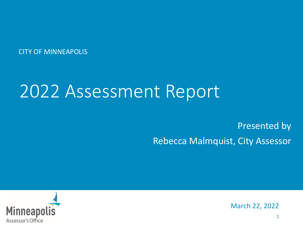CITY OF MINNEAPOLIS

# 2022 Assessment Report

#### Presented by Rebecca Malmquist, City Assessor



March 22, 2022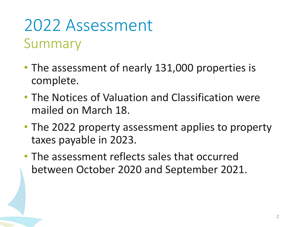## 2022 Assessment Summary

- The assessment of nearly 131,000 properties is complete.
- The Notices of Valuation and Classification were mailed on March 18.
- The 2022 property assessment applies to property taxes payable in 2023.
- The assessment reflects sales that occurred between October 2020 and September 2021.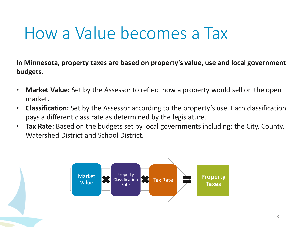# How a Value becomes a Tax

**In Minnesota, property taxes are based on property's value, use and local government budgets.**

- **Market Value:** Set by the Assessor to reflect how a property would sell on the open market.
- **Classification:** Set by the Assessor according to the property's use. Each classification pays a different class rate as determined by the legislature.
- **Tax Rate:** Based on the budgets set by local governments including: the City, County, Watershed District and School District.

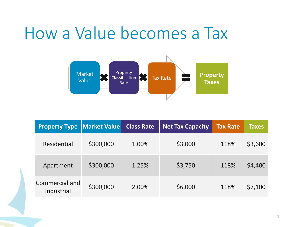#### How a Value becomes a Tax



| <b>Property Type</b>         | <b>Market Value</b> | <b>Class Rate</b> | <b>Net Tax Capacity</b> | <b>Tax Rate</b> | <b>Taxes</b> |
|------------------------------|---------------------|-------------------|-------------------------|-----------------|--------------|
| Residential                  | \$300,000           | 1.00%             | \$3,000                 | 118%            | \$3,600      |
| Apartment                    | \$300,000           | 1.25%             | \$3,750                 | 118%            | \$4,400      |
| Commercial and<br>Industrial | \$300,000           | 2.00%             | \$6,000                 | 118%            | \$7,100      |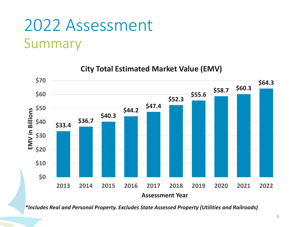### 2022 Assessment Summary



**City Total Estimated Market Value (EMV)**

*\*Includes Real and Personal Property. Excludes State Assessed Property (Utilities and Railroads)*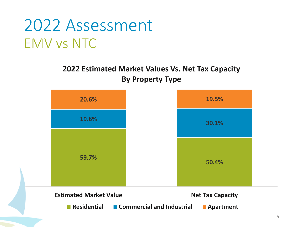#### 2022 Assessment EMV vs NTC

#### **2022 Estimated Market Values Vs. Net Tax Capacity By Property Type**

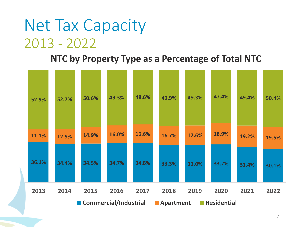#### Net Tax Capacity 2013 - 2022

#### **NTC by Property Type as a Percentage of Total NTC**

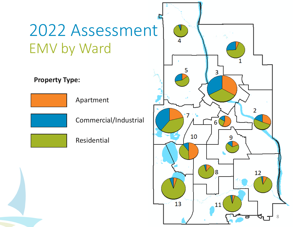## 2022 Assessment EMV by Ward

**Property Type:**



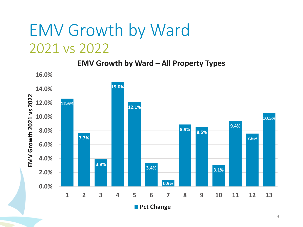#### EMV Growth by Ward 2021 vs 2022

#### **EMV Growth by Ward – All Property Types**

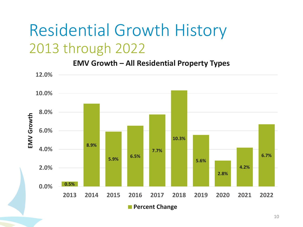#### Residential Growth History 2013 through 2022

**EMV Growth – All Residential Property Types**

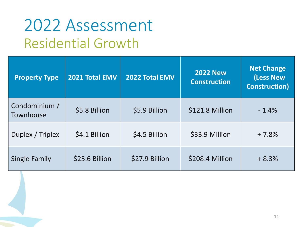#### 2022 Assessment Residential Growth

| <b>Property Type</b>       | 2021 Total EMV | 2022 Total EMV | <b>2022 New</b><br><b>Construction</b> | <b>Net Change</b><br>(Less New<br><b>Construction</b> ) |
|----------------------------|----------------|----------------|----------------------------------------|---------------------------------------------------------|
| Condominium /<br>Townhouse | \$5.8 Billion  | \$5.9 Billion  | \$121.8 Million                        | $-1.4%$                                                 |
| Duplex / Triplex           | \$4.1 Billion  | \$4.5 Billion  | \$33.9 Million                         | $+7.8%$                                                 |
| Single Family              | \$25.6 Billion | \$27.9 Billion | \$208.4 Million                        | $+8.3%$                                                 |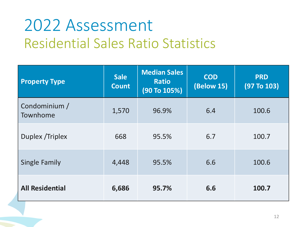## 2022 Assessment Residential Sales Ratio Statistics

| <b>Property Type</b>      | <b>Sale</b><br><b>Count</b> | <b>Median Sales</b><br><b>Ratio</b><br>(90 To 105%) | <b>COD</b><br><b>(Below 15)</b> | <b>PRD</b><br>(97 T <sub>0</sub> 103) |
|---------------------------|-----------------------------|-----------------------------------------------------|---------------------------------|---------------------------------------|
| Condominium /<br>Townhome | 1,570                       | 96.9%                                               | 6.4                             | 100.6                                 |
| Duplex / Triplex          | 668                         | 95.5%                                               | 6.7                             | 100.7                                 |
| <b>Single Family</b>      | 4,448                       | 95.5%                                               | 6.6                             | 100.6                                 |
| <b>All Residential</b>    | 6,686                       | 95.7%                                               | 6.6                             | 100.7                                 |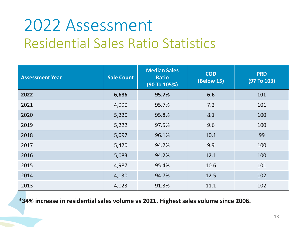# 2022 Assessment Residential Sales Ratio Statistics

| <b>Assessment Year</b> | <b>Sale Count</b> | <b>Median Sales</b><br><b>Ratio</b><br>(90 To 105%) | <b>COD</b><br><b>(Below 15)</b> | <b>PRD</b><br>(97 T <sub>0</sub> 103) |
|------------------------|-------------------|-----------------------------------------------------|---------------------------------|---------------------------------------|
| 2022                   | 6,686             | 95.7%                                               | 6.6                             | 101                                   |
| 2021                   | 4,990             | 95.7%                                               | 7.2                             | 101                                   |
| 2020                   | 5,220             | 95.8%                                               | 8.1                             | 100                                   |
| 2019                   | 5,222             | 97.5%                                               | 9.6                             | 100                                   |
| 2018                   | 5,097             | 96.1%                                               | 10.1                            | 99                                    |
| 2017                   | 5,420             | 94.2%                                               | 9.9                             | 100                                   |
| 2016                   | 5,083             | 94.2%                                               | 12.1                            | 100                                   |
| 2015                   | 4,987             | 95.4%                                               | 10.6                            | 101                                   |
| 2014                   | 4,130             | 94.7%                                               | 12.5                            | 102                                   |
| 2013                   | 4,023             | 91.3%                                               | 11.1                            | 102                                   |

**\*34% increase in residential sales volume vs 2021. Highest sales volume since 2006.**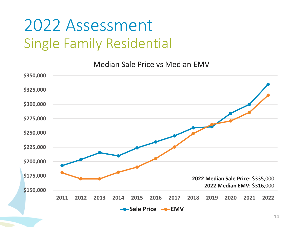## 2022 Assessment Single Family Residential

Median Sale Price vs Median EMV

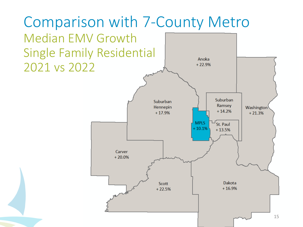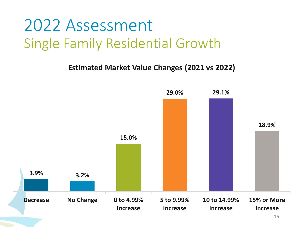#### 2022 Assessment Single Family Residential Growth

**Estimated Market Value Changes (2021 vs 2022)**

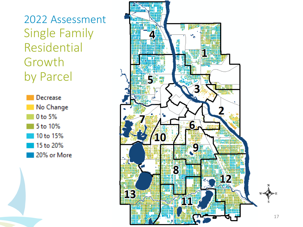2022 Assessment Single Family Residential Growth by Parcel



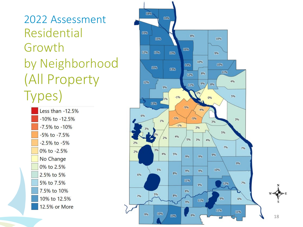2022 Assessment Residential Growth by Neighborhood (All Property Types)

> Less than -12.5%  $-10\%$  to  $-12.5\%$ -7.5% to -10%  $-5\%$  to  $-7.5\%$  $-2.5\%$  to  $-5\%$ 0% to -2.5% No Change 0% to 2.5% 2.5% to 5% 5% to 7.5% 7.5% to 10% 10% to 12.5% 12.5% or More

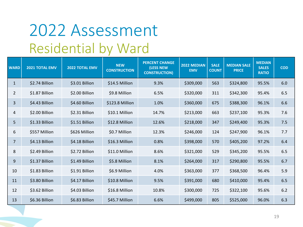## 2022 Assessment Residential by Ward

| <b>WARD</b>    | 2021 TOTAL EMV | <b>2022 TOTAL EMV</b> | <b>NEW</b><br><b>CONSTRUCTION</b> | <b>PERCENT CHANGE</b><br>(LESS NEW<br><b>CONSTRUCTION)</b> | 2022 MEDIAN<br><b>EMV</b> | <b>SALE</b><br><b>COUNT</b> | <b>MEDIAN SALE</b><br><b>PRICE</b> | <b>MEDIAN</b><br><b>SALES</b><br><b>RATIO</b> | <b>COD</b> |
|----------------|----------------|-----------------------|-----------------------------------|------------------------------------------------------------|---------------------------|-----------------------------|------------------------------------|-----------------------------------------------|------------|
| $\mathbf{1}$   | \$2.74 Billion | \$3.01 Billion        | \$14.5 Million                    | 9.3%                                                       | \$309,000                 | 563                         | \$324,800                          | 95.5%                                         | 6.0        |
| $\overline{2}$ | \$1.87 Billion | \$2.00 Billion        | \$9.8 Million                     | 6.5%                                                       | \$320,000                 | 311                         | \$342,300                          | 95.4%                                         | 6.5        |
| 3              | \$4.43 Billion | \$4.60 Billion        | \$123.8 Million                   | 1.0%                                                       | \$360,000                 | 675                         | \$388,300                          | 96.1%                                         | 6.6        |
| 4              | \$2.00 Billion | \$2.31 Billion        | \$10.1 Million                    | 14.7%                                                      | \$213,000                 | 663                         | \$237,100                          | 95.3%                                         | 7.6        |
| 5              | \$1.33 Billion | \$1.51 Billion        | \$12.8 Million                    | 12.6%                                                      | \$218,000                 | 347                         | \$249,400                          | 95.3%                                         | 7.5        |
| 6              | \$557 Million  | \$626 Million         | \$0.7 Million                     | 12.3%                                                      | \$246,000                 | 124                         | \$247,900                          | 96.1%                                         | 7.7        |
| $\overline{7}$ | \$4.13 Billion | \$4.18 Billion        | \$16.3 Million                    | 0.8%                                                       | \$398,000                 | 570                         | \$405,200                          | 97.2%                                         | 6.4        |
| 8              | \$2.49 Billion | \$2.72 Billion        | \$11.0 Million                    | 8.6%                                                       | \$321,000                 | 529                         | \$345,200                          | 95.5%                                         | 6.5        |
| 9              | \$1.37 Billion | \$1.49 Billion        | \$5.8 Million                     | 8.1%                                                       | \$264,000                 | 317                         | \$290,800                          | 95.5%                                         | 6.7        |
| 10             | \$1.83 Billion | \$1.91 Billion        | \$6.9 Million                     | 4.0%                                                       | \$363,000                 | 377                         | \$368,500                          | 96.4%                                         | 5.9        |
| 11             | \$3.80 Billion | \$4.17 Billion        | \$10.8 Million                    | 9.5%                                                       | \$391,000                 | 680                         | \$410,000                          | 95.4%                                         | 6.5        |
| 12             | \$3.62 Billion | \$4.03 Billion        | \$16.8 Million                    | 10.8%                                                      | \$300,000                 | 725                         | \$322,100                          | 95.6%                                         | 6.2        |
| 13             | \$6.36 Billion | \$6.83 Billion        | \$45.7 Million                    | 6.6%                                                       | \$499,000                 | 805                         | \$525,000                          | 96.0%                                         | 6.3        |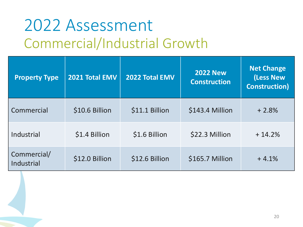# 2022 Assessment Commercial/Industrial Growth

| <b>Property Type</b>      | 2021 Total EMV | 2022 Total EMV | <b>2022 New</b><br><b>Construction</b> | <b>Net Change</b><br>(Less New<br><b>Construction</b> ) |
|---------------------------|----------------|----------------|----------------------------------------|---------------------------------------------------------|
| Commercial                | \$10.6 Billion | \$11.1 Billion | \$143.4 Million                        | $+2.8%$                                                 |
| Industrial                | \$1.4 Billion  | \$1.6 Billion  | \$22.3 Million                         | $+14.2%$                                                |
| Commercial/<br>Industrial | \$12.0 Billion | \$12.6 Billion | \$165.7 Million                        | $+4.1%$                                                 |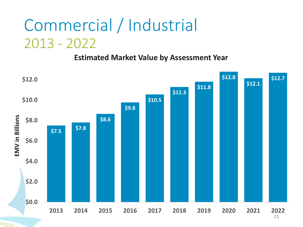## Commercial / Industrial 2013 - 2022

**Estimated Market Value by Assessment Year**



<sup>21</sup>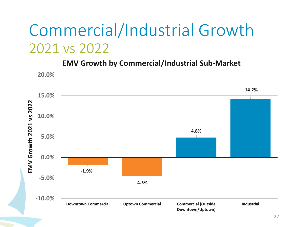### Commercial/Industrial Growth 2021 vs 2022

**EMV Growth by Commercial/Industrial Sub-Market**

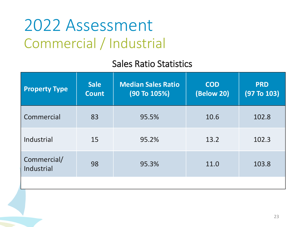#### 2022 Assessment Commercial / Industrial

#### Sales Ratio Statistics

| <b>Property Type</b>      | <b>Sale</b><br><b>Count</b> | <b>Median Sales Ratio</b><br>(90 To 105%) | <b>COD</b><br>(Below 20) | <b>PRD</b><br>(97 T <sub>0</sub> 103) |
|---------------------------|-----------------------------|-------------------------------------------|--------------------------|---------------------------------------|
| Commercial                | 83                          | 95.5%                                     | 10.6                     | 102.8                                 |
| Industrial                | 15                          | 95.2%                                     | 13.2                     | 102.3                                 |
| Commercial/<br>Industrial | 98                          | 95.3%                                     | 11.0                     | 103.8                                 |
|                           |                             |                                           |                          |                                       |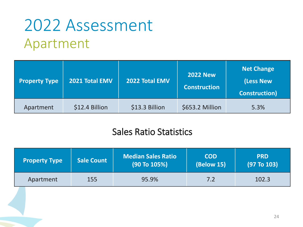## 2022 Assessment Apartment

| <b>Property Type</b> | 2021 Total EMV | 2022 Total EMV | <b>2022 New</b><br><b>Construction</b> | <b>Net Change</b><br>(Less New<br><b>Construction</b> ) |
|----------------------|----------------|----------------|----------------------------------------|---------------------------------------------------------|
| Apartment            | \$12.4 Billion | \$13.3 Billion | \$653.2 Million                        | 5.3%                                                    |

#### Sales Ratio Statistics

| <b>Property Type</b> | <b>Sale Count</b> | <b>Median Sales Ratio</b><br>$(90$ To $105\%)$ | <b>COD</b><br><b>(Below 15)</b> | <b>PRD</b><br>(97 T <sub>0</sub> 103) |
|----------------------|-------------------|------------------------------------------------|---------------------------------|---------------------------------------|
| Apartment            | 155               | 95.9%                                          | 7.2                             | 102.3                                 |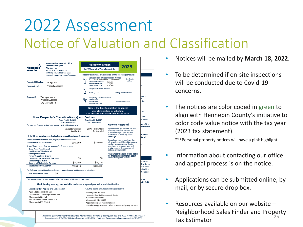#### 2022 Assessment Notice of Valuation and Classification

|                                                                    | <b>Minneapolis Assessor's Office</b><br>Rebecca Malmquist                                |                       |           | <b>Valuation Notice</b>                                                                                                                         |                                                    | 2023                                                                                                |                    |
|--------------------------------------------------------------------|------------------------------------------------------------------------------------------|-----------------------|-----------|-------------------------------------------------------------------------------------------------------------------------------------------------|----------------------------------------------------|-----------------------------------------------------------------------------------------------------|--------------------|
| vent Office                                                        | <b>City Assessor</b><br>350 Fifth St. S., Room 100                                       |                       |           | 2022 Values for Taxes Payable in                                                                                                                |                                                    |                                                                                                     |                    |
|                                                                    | Minneapolis, MN 55415-1323                                                               |                       |           |                                                                                                                                                 |                                                    |                                                                                                     |                    |
|                                                                    | www.minneapolismn.gov/assessor                                                           |                       |           | Property tax notices are delivered on the following schedule:                                                                                   |                                                    |                                                                                                     |                    |
| <b>Property ID Number:</b>                                         | 13 digit PID<br><b>Property Address</b>                                                  |                       | Step<br>Ί | Valuation and Classification Notice<br>Class: 100% Homestead<br><b>Estimated Market Value:</b><br>Homestead Exclusion:<br>Taxable Market Value: | Residential<br>\$158,000<br>\$ 23,020<br>\$134,980 | <b>See Details</b><br><b>Below</b>                                                                  | le                 |
| <b>Property Location:</b>                                          |                                                                                          |                       |           | Proposed Taxes Notice                                                                                                                           |                                                    |                                                                                                     |                    |
|                                                                    |                                                                                          |                       | Step<br>z | 2023 Proposed Tax:                                                                                                                              |                                                    | <b>Coming November 2022</b>                                                                         |                    |
|                                                                    |                                                                                          |                       |           |                                                                                                                                                 |                                                    |                                                                                                     | operty             |
| Taxpayer(s):                                                       | <b>Taxpayer Name</b>                                                                     |                       | Step      | <b>Property Tax Statement</b>                                                                                                                   |                                                    |                                                                                                     |                    |
|                                                                    | <b>Property Address</b>                                                                  |                       |           | <b>1st Half Taxes:</b><br>2nd Half Taxes:                                                                                                       |                                                    | Coming March 2023                                                                                   | Int of             |
|                                                                    | City State Zip +4                                                                        |                       |           | Total Taxes Due in 2023:                                                                                                                        |                                                    |                                                                                                     |                    |
|                                                                    |                                                                                          |                       |           | Now is the time to question or appeal                                                                                                           |                                                    |                                                                                                     |                    |
|                                                                    |                                                                                          |                       |           | your classification or valuation.                                                                                                               |                                                    |                                                                                                     | um                 |
|                                                                    |                                                                                          |                       |           | It will be too late when proposed taxes are sent this fall.                                                                                     |                                                    |                                                                                                     |                    |
|                                                                    | Your Property's Classification(s) and Values                                             |                       |           |                                                                                                                                                 |                                                    |                                                                                                     | . The              |
|                                                                    |                                                                                          | Taxes Payable in 2022 |           | <b>Taxes Pavable in 2023</b>                                                                                                                    |                                                    |                                                                                                     | br more.           |
|                                                                    |                                                                                          | (2021 Assessment)     |           | (2022 Assessment)                                                                                                                               |                                                    |                                                                                                     | ate of the         |
|                                                                    | The assessor has determined your property's classification(s) to be:                     |                       |           |                                                                                                                                                 | <b>How to Respond</b>                              |                                                                                                     | ents made          |
|                                                                    |                                                                                          | 100% Homestead        |           | 100% Homestead                                                                                                                                  |                                                    | If you believe your valuation and                                                                   |                    |
|                                                                    | If this box is checked, your classification has changed from last year's assessment.     | Residential           |           | Residential                                                                                                                                     |                                                    | property class are correct, it is<br>not necessary to contact your<br>assessor or attend any listed | he value           |
|                                                                    |                                                                                          |                       |           |                                                                                                                                                 | meetings.                                          |                                                                                                     | iter all           |
|                                                                    | The assessor has estimated your property's market value to be:                           |                       |           |                                                                                                                                                 |                                                    | If you have concerns about the                                                                      |                    |
| <b>Estimated Market Value (EMV)</b>                                |                                                                                          | \$145,000             |           | \$158,000                                                                                                                                       |                                                    | information on this notice, please<br>contact your assessor. If your                                |                    |
|                                                                    | Several factors can reduce the amount that is subject to tax:                            |                       |           |                                                                                                                                                 |                                                    | questions or concerns are not<br>resolved, more formal appeal                                       |                    |
| <b>Green Acres Value Deferral</b>                                  |                                                                                          |                       |           |                                                                                                                                                 | options are available.                             |                                                                                                     |                    |
| <b>Rural Preserve Value Deferral</b><br><b>Open Space Deferral</b> |                                                                                          |                       |           |                                                                                                                                                 |                                                    | Please read the back of this notice                                                                 |                    |
| <b>Platted Vacant Land Deferral</b>                                |                                                                                          |                       |           |                                                                                                                                                 |                                                    | for important information about                                                                     |                    |
|                                                                    | <b>Exclusion for Veterans With Disabilities</b>                                          | \$0                   |           | \$0                                                                                                                                             |                                                    | the formal appeal process.                                                                          |                    |
| <b>Mold Damage Exclusion</b>                                       |                                                                                          |                       |           | \$23.020                                                                                                                                        |                                                    |                                                                                                     | OUT CASE           |
|                                                                    | Homestead Market Value Exclusion                                                         | \$24,190              |           |                                                                                                                                                 |                                                    |                                                                                                     | Division o         |
| <b>Taxable Market Value (TMV)</b>                                  |                                                                                          | \$120,810             |           | \$134,980                                                                                                                                       |                                                    |                                                                                                     | hich taxes         |
|                                                                    | The following values (if any) are reflected in your estimated and taxable market values: |                       |           |                                                                                                                                                 |                                                    |                                                                                                     | s Division         |
| New Improvement Value                                              | \$0                                                                                      |                       |           |                                                                                                                                                 |                                                    |                                                                                                     |                    |
|                                                                    |                                                                                          |                       |           |                                                                                                                                                 |                                                    |                                                                                                     |                    |
|                                                                    | The classification(s) of your property affect the rate at which your value is taxed.     |                       |           |                                                                                                                                                 |                                                    |                                                                                                     | tion and<br>Court: |
|                                                                    |                                                                                          |                       |           | The following meetings are available to discuss or appeal your value and classification:                                                        |                                                    |                                                                                                     | 627-3529           |
|                                                                    |                                                                                          |                       |           | County Board of Appeal and Equalization                                                                                                         |                                                    |                                                                                                     |                    |
|                                                                    | Local Board of Appeal and Equalization                                                   |                       |           |                                                                                                                                                 |                                                    |                                                                                                     |                    |
| April 18 2022 at 10:00 a.m.                                        | Online Virtual Meeting is scheduled                                                      |                       |           | Monday June 13 2022                                                                                                                             |                                                    |                                                                                                     |                    |
| Minneapolis City Hall                                              |                                                                                          |                       |           | Hennepin County Government Center                                                                                                               |                                                    |                                                                                                     |                    |
|                                                                    | 350 South 5th Street. Room 319                                                           |                       |           | 300 South 6th Street                                                                                                                            |                                                    |                                                                                                     |                    |
| Minneapolis MN 55415                                               |                                                                                          |                       |           | Minneapolis MN 55487                                                                                                                            |                                                    |                                                                                                     |                    |
|                                                                    |                                                                                          |                       |           | Appointments are recommended                                                                                                                    |                                                    | To make an appointment call 612-348-7050 by May 18 2022                                             |                    |

Attention: If you want help translating this information or are hard of hearing, call 612-673-3000 or TTY 612-673-2157 Para asistencia 612-673-2700 - Rau key pab 612-673-2800 - Hadii aad Caawimaad u baahantahay 612-673-3500

• Notices will be mailed by **March 18, 2022**.

- To be determined if on-site inspections will be conducted due to Covid-19 concerns.
- The notices are color coded in green to align with Hennepin County's initiative to color code value notice with the tax year (2023 tax statement).

\*\*\*Personal property notices will have a pink highlight

- Information about contacting our office and appeal process is on the notice.
- Applications can be submitted online, by mail, or by secure drop box.
- 25 • Resources available on our website – Neighborhood Sales Finder and Property Tax Estimator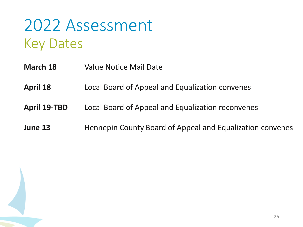#### 2022 Assessment Key Dates

- **March 18** Value Notice Mail Date
- **April 18** Local Board of Appeal and Equalization convenes
- **April 19-TBD** Local Board of Appeal and Equalization reconvenes
- **June 13** Hennepin County Board of Appeal and Equalization convenes